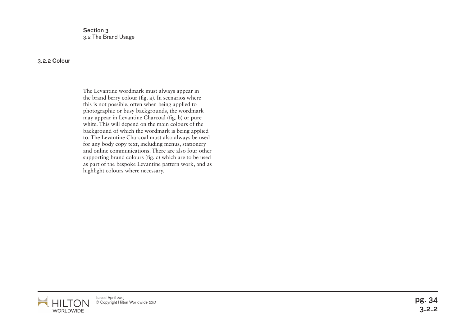Section 3 3.2 The Brand Usage

## 3.2.2 Colour

The Levantine wordmark must always appear in the brand berry colour (fig. a). In scenarios where this is not possible, often when being applied to photographic or busy backgrounds, the wordmark may appear in Levantine Charcoal (fig. b) or pure white. This will depend on the main colours of the background of which the wordmark is being applied to. The Levantine Charcoal must also always be used for any body copy text, including menus, stationery and online communications. There are also four other supporting brand colours (fig. c) which are to be used as part of the bespoke Levantine pattern work, and as highlight colours where necessary.



Issued April 2013 Issued April 2013<br>© Copyright Hilton Worldwide 2013